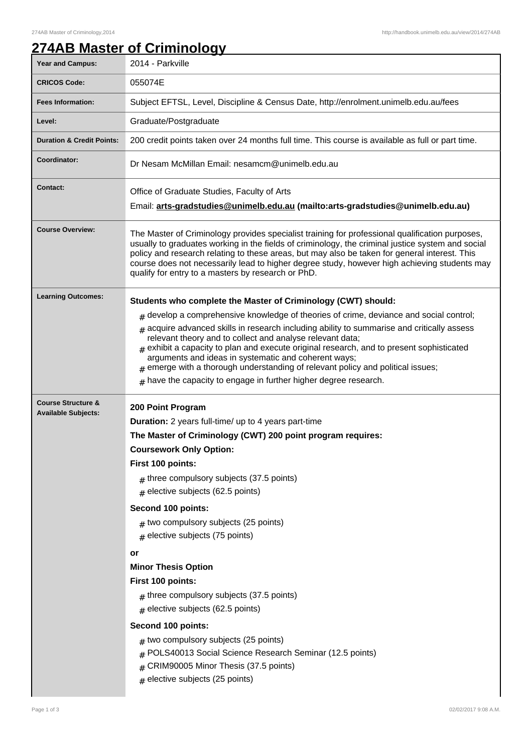# **274AB Master of Criminology**

| <b>Year and Campus:</b>                                     | 2014 - Parkville                                                                                                                                                                                                                                                                                                                                                                                                                                                                                                                                                                                                                                                                                                                                               |
|-------------------------------------------------------------|----------------------------------------------------------------------------------------------------------------------------------------------------------------------------------------------------------------------------------------------------------------------------------------------------------------------------------------------------------------------------------------------------------------------------------------------------------------------------------------------------------------------------------------------------------------------------------------------------------------------------------------------------------------------------------------------------------------------------------------------------------------|
| <b>CRICOS Code:</b>                                         | 055074E                                                                                                                                                                                                                                                                                                                                                                                                                                                                                                                                                                                                                                                                                                                                                        |
| <b>Fees Information:</b>                                    | Subject EFTSL, Level, Discipline & Census Date, http://enrolment.unimelb.edu.au/fees                                                                                                                                                                                                                                                                                                                                                                                                                                                                                                                                                                                                                                                                           |
| Level:                                                      | Graduate/Postgraduate                                                                                                                                                                                                                                                                                                                                                                                                                                                                                                                                                                                                                                                                                                                                          |
| <b>Duration &amp; Credit Points:</b>                        | 200 credit points taken over 24 months full time. This course is available as full or part time.                                                                                                                                                                                                                                                                                                                                                                                                                                                                                                                                                                                                                                                               |
| Coordinator:                                                | Dr Nesam McMillan Email: nesamcm@unimelb.edu.au                                                                                                                                                                                                                                                                                                                                                                                                                                                                                                                                                                                                                                                                                                                |
| <b>Contact:</b>                                             | Office of Graduate Studies, Faculty of Arts<br>Email: arts-gradstudies@unimelb.edu.au (mailto: arts-gradstudies@unimelb.edu.au)                                                                                                                                                                                                                                                                                                                                                                                                                                                                                                                                                                                                                                |
| <b>Course Overview:</b>                                     | The Master of Criminology provides specialist training for professional qualification purposes,<br>usually to graduates working in the fields of criminology, the criminal justice system and social<br>policy and research relating to these areas, but may also be taken for general interest. This<br>course does not necessarily lead to higher degree study, however high achieving students may<br>qualify for entry to a masters by research or PhD.                                                                                                                                                                                                                                                                                                    |
| <b>Learning Outcomes:</b>                                   | Students who complete the Master of Criminology (CWT) should:<br>$_{\#}$ develop a comprehensive knowledge of theories of crime, deviance and social control;<br>$#$ acquire advanced skills in research including ability to summarise and critically assess<br>relevant theory and to collect and analyse relevant data;<br>$#$ exhibit a capacity to plan and execute original research, and to present sophisticated<br>arguments and ideas in systematic and coherent ways;<br>$#$ emerge with a thorough understanding of relevant policy and political issues;<br>$#$ have the capacity to engage in further higher degree research.                                                                                                                    |
| <b>Course Structure &amp;</b><br><b>Available Subjects:</b> | 200 Point Program<br><b>Duration:</b> 2 years full-time/ up to 4 years part-time<br>The Master of Criminology (CWT) 200 point program requires:<br><b>Coursework Only Option:</b><br>First 100 points:<br>$#$ three compulsory subjects (37.5 points)<br>$#$ elective subjects (62.5 points)<br>Second 100 points:<br>$#$ two compulsory subjects (25 points)<br>elective subjects (75 points)<br>$\#$<br>or<br><b>Minor Thesis Option</b><br>First 100 points:<br>$#$ three compulsory subjects (37.5 points)<br>$#$ elective subjects (62.5 points)<br>Second 100 points:<br>$#$ two compulsory subjects (25 points)<br>POLS40013 Social Science Research Seminar (12.5 points)<br>CRIM90005 Minor Thesis (37.5 points)<br>$#$ elective subjects (25 points) |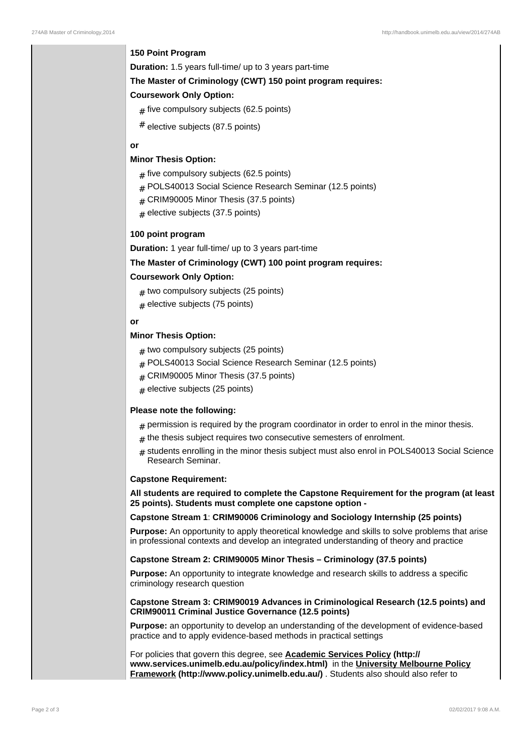# **150 Point Program**

**Duration:** 1.5 years full-time/ up to 3 years part-time

#### **The Master of Criminology (CWT) 150 point program requires:**

# **Coursework Only Option:**

- $_{\#}$  five compulsory subjects (62.5 points)
- # elective subjects (87.5 points)

# **or**

## **Minor Thesis Option:**

- $_{\#}$  five compulsory subjects (62.5 points)
- # POLS40013 Social Science Research Seminar (12.5 points)
- $#$  CRIM90005 Minor Thesis (37.5 points)
- $_{\rm \#}$  elective subjects (37.5 points)

# **100 point program**

**Duration:** 1 year full-time/ up to 3 years part-time

# **The Master of Criminology (CWT) 100 point program requires:**

#### **Coursework Only Option:**

- ${}_{\#}$  two compulsory subjects (25 points)
- $_{\#}$  elective subjects (75 points)

## **or**

# **Minor Thesis Option:**

- ${}_{\#}$  two compulsory subjects (25 points)
- # POLS40013 Social Science Research Seminar (12.5 points)
- # CRIM90005 Minor Thesis (37.5 points)
- ${}_{\#}$  elective subjects (25 points)

#### **Please note the following:**

- $_{\rm \#}$  permission is required by the program coordinator in order to enrol in the minor thesis.
- ${}_{\#}$  the thesis subject requires two consecutive semesters of enrolment.
- # students enrolling in the minor thesis subject must also enrol in POLS40013 Social Science Research Seminar.

#### **Capstone Requirement:**

**All students are required to complete the Capstone Requirement for the program (at least 25 points). Students must complete one capstone option -**

# **Capstone Stream 1**: **CRIM90006 Criminology and Sociology Internship (25 points)**

**Purpose:** An opportunity to apply theoretical knowledge and skills to solve problems that arise in professional contexts and develop an integrated understanding of theory and practice

# **Capstone Stream 2: CRIM90005 Minor Thesis – Criminology (37.5 points)**

**Purpose:** An opportunity to integrate knowledge and research skills to address a specific criminology research question

#### **Capstone Stream 3: CRIM90019 Advances in Criminological Research (12.5 points) and CRIM90011 Criminal Justice Governance (12.5 points)**

**Purpose:** an opportunity to develop an understanding of the development of evidence-based practice and to apply evidence-based methods in practical settings

For policies that govern this degree, see **Academic Services Policy (http:// www.services.unimelb.edu.au/policy/index.html)** in the **University Melbourne Policy Framework (http://www.policy.unimelb.edu.au/)** . Students also should also refer to